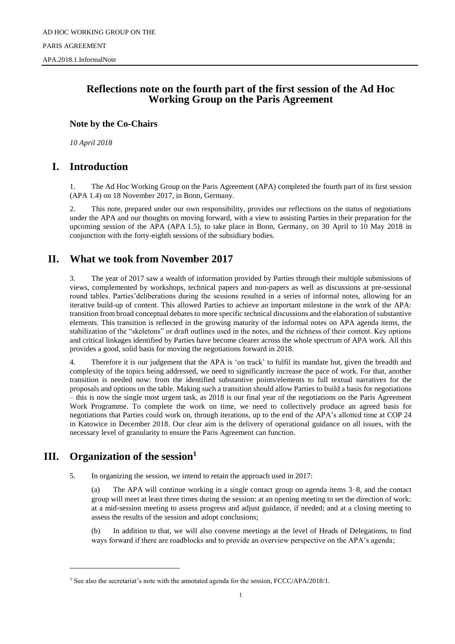### **Reflections note on the fourth part of the first session of the Ad Hoc Working Group on the Paris Agreement**

### **Note by the Co-Chairs**

*10 April 2018*

### **I. Introduction**

1. The Ad Hoc Working Group on the Paris Agreement (APA) completed the fourth part of its first session (APA 1.4) on 18 November 2017, in Bonn, Germany.

2. This note, prepared under our own responsibility, provides our reflections on the status of negotiations under the APA and our thoughts on moving forward, with a view to assisting Parties in their preparation for the upcoming session of the APA (APA 1.5), to take place in Bonn, Germany, on 30 April to 10 May 2018 in conjunction with the forty-eighth sessions of the subsidiary bodies.

# **II. What we took from November 2017**

3. The year of 2017 saw a wealth of information provided by Parties through their multiple submissions of views, complemented by workshops, technical papers and non-papers as well as discussions at pre-sessional round tables. Parties'deliberations during the sessions resulted in a series of informal notes, allowing for an iterative build-up of content. This allowed Parties to achieve an important milestone in the work of the APA: transition from broad conceptual debates to more specific technical discussions and the elaboration of substantive elements. This transition is reflected in the growing maturity of the informal notes on APA agenda items, the stabilization of the "skeletons" or draft outlines used in the notes, and the richness of their content. Key options and critical linkages identified by Parties have become clearer across the whole spectrum of APA work. All this provides a good, solid basis for moving the negotiations forward in 2018.

4. Therefore it is our judgement that the APA is 'on track' to fulfil its mandate but, given the breadth and complexity of the topics being addressed, we need to significantly increase the pace of work. For that, another transition is needed now: from the identified substantive points/elements to full textual narratives for the proposals and options on the table. Making such a transition should allow Parties to build a basis for negotiations – this is now the single most urgent task, as 2018 is our final year of the negotiations on the Paris Agreement Work Programme. To complete the work on time, we need to collectively produce an agreed basis for negotiations that Parties could work on, through iterations, up to the end of the APA's allotted time at COP 24 in Katowice in December 2018. Our clear aim is the delivery of operational guidance on all issues, with the necessary level of granularity to ensure the Paris Agreement can function.

# **III. Organization of the session<sup>1</sup>**

l

5. In organizing the session, we intend to retain the approach used in 2017:

(a) The APA will continue working in a single contact group on agenda items 3–8, and the contact group will meet at least three times during the session: at an opening meeting to set the direction of work; at a mid-session meeting to assess progress and adjust guidance, if needed; and at a closing meeting to assess the results of the session and adopt conclusions;

(b) In addition to that, we will also convene meetings at the level of Heads of Delegations, to find ways forward if there are roadblocks and to provide an overview perspective on the APA's agenda;

<sup>&</sup>lt;sup>1</sup> See also the secretariat's note with the annotated agenda for the session, FCCC/APA/2018/1.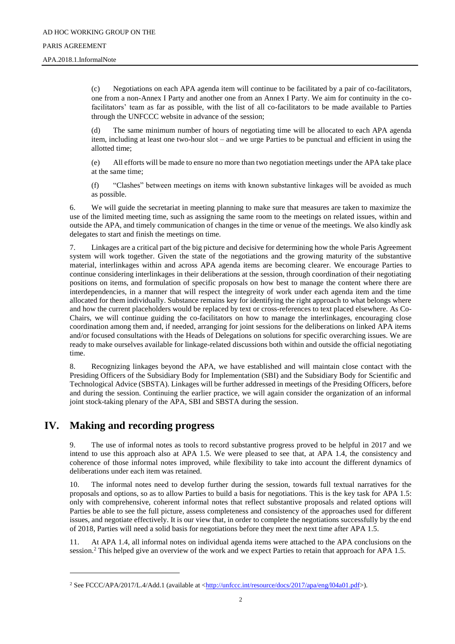### PARIS AGREEMENT

APA.2018.1.InformalNote

(c) Negotiations on each APA agenda item will continue to be facilitated by a pair of co-facilitators, one from a non-Annex I Party and another one from an Annex I Party. We aim for continuity in the cofacilitators' team as far as possible, with the list of all co-facilitators to be made available to Parties through the UNFCCC website in advance of the session;

(d) The same minimum number of hours of negotiating time will be allocated to each APA agenda item, including at least one two-hour slot – and we urge Parties to be punctual and efficient in using the allotted time;

(e) All efforts will be made to ensure no more than two negotiation meetings under the APA take place at the same time;

(f) "Clashes" between meetings on items with known substantive linkages will be avoided as much as possible.

6. We will guide the secretariat in meeting planning to make sure that measures are taken to maximize the use of the limited meeting time, such as assigning the same room to the meetings on related issues, within and outside the APA, and timely communication of changes in the time or venue of the meetings. We also kindly ask delegates to start and finish the meetings on time.

7. Linkages are a critical part of the big picture and decisive for determining how the whole Paris Agreement system will work together. Given the state of the negotiations and the growing maturity of the substantive material, interlinkages within and across APA agenda items are becoming clearer. We encourage Parties to continue considering interlinkages in their deliberations at the session, through coordination of their negotiating positions on items, and formulation of specific proposals on how best to manage the content where there are interdependencies, in a manner that will respect the integreity of work under each agenda item and the time allocated for them individually. Substance remains key for identifying the right approach to what belongs where and how the current placeholders would be replaced by text or cross-references to text placed elsewhere. As Co-Chairs, we will continue guiding the co-facilitators on how to manage the interlinkages, encouraging close coordination among them and, if needed, arranging for joint sessions for the deliberations on linked APA items and/or focused consultations with the Heads of Delegations on solutions for specific overarching issues. We are ready to make ourselves available for linkage-related discussions both within and outside the official negotiating time.

8. Recognizing linkages beyond the APA, we have established and will maintain close contact with the Presiding Officers of the Subsidiary Body for Implementation (SBI) and the Subsidiary Body for Scientific and Technological Advice (SBSTA). Linkages will be further addressed in meetings of the Presiding Officers, before and during the session. Continuing the earlier practice, we will again consider the organization of an informal joint stock-taking plenary of the APA, SBI and SBSTA during the session.

# **IV. Making and recording progress**

l

9. The use of informal notes as tools to record substantive progress proved to be helpful in 2017 and we intend to use this approach also at APA 1.5. We were pleased to see that, at APA 1.4, the consistency and coherence of those informal notes improved, while flexibility to take into account the different dynamics of deliberations under each item was retained.

10. The informal notes need to develop further during the session, towards full textual narratives for the proposals and options, so as to allow Parties to build a basis for negotiations. This is the key task for APA 1.5: only with comprehensive, coherent informal notes that reflect substantive proposals and related options will Parties be able to see the full picture, assess completeness and consistency of the approaches used for different issues, and negotiate effectively. It is our view that, in order to complete the negotiations successfully by the end of 2018, Parties will need a solid basis for negotiations before they meet the next time after APA 1.5.

11. At APA 1.4, all informal notes on individual agenda items were attached to the APA conclusions on the session.<sup>2</sup> This helped give an overview of the work and we expect Parties to retain that approach for APA 1.5.

<sup>&</sup>lt;sup>2</sup> See FCCC/APA/2017/L.4/Add.1 (available at [<http://unfccc.int/resource/docs/2017/apa/eng/l04a01.pdf>](http://unfccc.int/resource/docs/2017/apa/eng/l04a01.pdf)).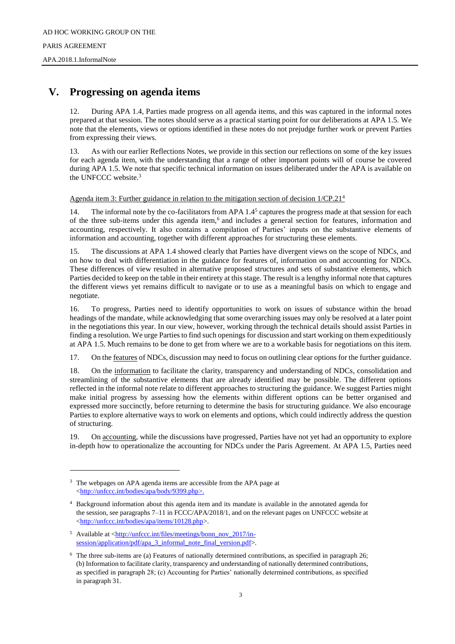# **V. Progressing on agenda items**

12. During APA 1.4, Parties made progress on all agenda items, and this was captured in the informal notes prepared at that session. The notes should serve as a practical starting point for our deliberations at APA 1.5. We note that the elements, views or options identified in these notes do not prejudge further work or prevent Parties from expressing their views.

13. As with our earlier Reflections Notes, we provide in this section our reflections on some of the key issues for each agenda item, with the understanding that a range of other important points will of course be covered during APA 1.5. We note that specific technical information on issues deliberated under the APA is available on the UNFCCC website.<sup>3</sup>

Agenda item 3: Further guidance in relation to the mitigation section of decision 1/CP.21<sup>4</sup>

14. The informal note by the co-facilitators from APA 1.4<sup>5</sup> captures the progress made at that session for each of the three sub-items under this agenda item,<sup>6</sup> and includes a general section for features, information and accounting, respectively. It also contains a compilation of Parties' inputs on the substantive elements of information and accounting, together with different approaches for structuring these elements.

15. The discussions at APA 1.4 showed clearly that Parties have divergent views on the scope of NDCs, and on how to deal with differentiation in the guidance for features of, information on and accounting for NDCs. These differences of view resulted in alternative proposed structures and sets of substantive elements, which Parties decided to keep on the table in their entirety at this stage. The result is a lengthy informal note that captures the different views yet remains difficult to navigate or to use as a meaningful basis on which to engage and negotiate.

16. To progress, Parties need to identify opportunities to work on issues of substance within the broad headings of the mandate, while acknowledging that some overarching issues may only be resolved at a later point in the negotiations this year. In our view, however, working through the technical details should assist Parties in finding a resolution. We urge Parties to find such openings for discussion and start working on them expeditiously at APA 1.5. Much remains to be done to get from where we are to a workable basis for negotiations on this item.

17. On the features of NDCs, discussion may need to focus on outlining clear options for the further guidance.

18. On the information to facilitate the clarity, transparency and understanding of NDCs, consolidation and streamlining of the substantive elements that are already identified may be possible. The different options reflected in the informal note relate to different approaches to structuring the guidance. We suggest Parties might make initial progress by assessing how the elements within different options can be better organised and expressed more succinctly, before returning to determine the basis for structuring guidance. We also encourage Parties to explore alternative ways to work on elements and options, which could indirectly address the question of structuring.

19. On accounting, while the discussions have progressed, Parties have not yet had an opportunity to explore in-depth how to operationalize the accounting for NDCs under the Paris Agreement. At APA 1.5, Parties need

l

<sup>&</sup>lt;sup>3</sup> The webpages on APA agenda items are accessible from the APA page at [<http://unfccc.int/bodies/apa/body/9399.php>](http://unfccc.int/bodies/apa/body/9399.php).

<sup>4</sup> Background information about this agenda item and its mandate is available in the annotated agenda for the session, see paragraphs 7–11 in FCCC/APA/2018/1, and on the relevant pages on UNFCCC website at [<http://unfccc.int/bodies/apa/items/10128.php>](http://unfccc.int/bodies/apa/items/10128.php).

<sup>5</sup> Available at [<http://unfccc.int/files/meetings/bonn\\_nov\\_2017/in](http://unfccc.int/files/meetings/bonn_nov_2017/in-session/application/pdf/apa_3_informal_note_final_version.pdf)[session/application/pdf/apa\\_3\\_informal\\_note\\_final\\_version.pdf>](http://unfccc.int/files/meetings/bonn_nov_2017/in-session/application/pdf/apa_3_informal_note_final_version.pdf).

<sup>6</sup> The three sub-items are (a) Features of nationally determined contributions, as specified in paragraph 26; (b) Information to facilitate clarity, transparency and understanding of nationally determined contributions, as specified in paragraph 28; (c) Accounting for Parties' nationally determined contributions, as specified in paragraph 31.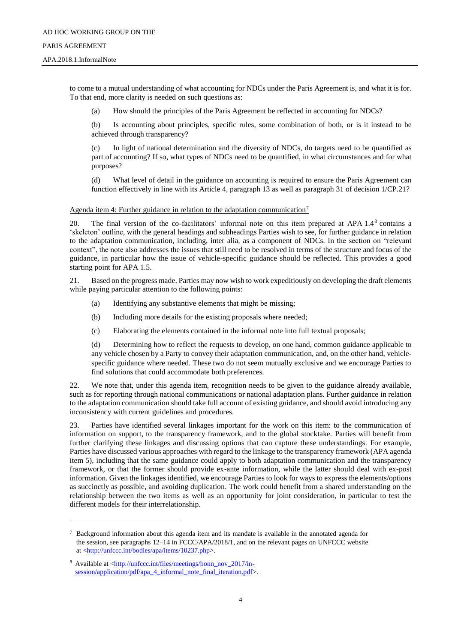#### PARIS AGREEMENT

l

#### APA.2018.1.InformalNote

to come to a mutual understanding of what accounting for NDCs under the Paris Agreement is, and what it is for. To that end, more clarity is needed on such questions as:

(a) How should the principles of the Paris Agreement be reflected in accounting for NDCs?

(b) Is accounting about principles, specific rules, some combination of both, or is it instead to be achieved through transparency?

(c) In light of national determination and the diversity of NDCs, do targets need to be quantified as part of accounting? If so, what types of NDCs need to be quantified, in what circumstances and for what purposes?

(d) What level of detail in the guidance on accounting is required to ensure the Paris Agreement can function effectively in line with its Article 4, paragraph 13 as well as paragraph 31 of decision 1/CP.21?

### Agenda item 4: Further guidance in relation to the adaptation communication<sup>7</sup>

20. The final version of the co-facilitators' informal note on this item prepared at APA 1.4<sup>8</sup> contains a 'skeleton' outline, with the general headings and subheadings Parties wish to see, for further guidance in relation to the adaptation communication, including, inter alia, as a component of NDCs. In the section on "relevant context", the note also addresses the issues that still need to be resolved in terms of the structure and focus of the guidance, in particular how the issue of vehicle-specific guidance should be reflected. This provides a good starting point for APA 1.5.

21. Based on the progress made, Parties may now wish to work expeditiously on developing the draft elements while paying particular attention to the following points:

- (a) Identifying any substantive elements that might be missing;
- (b) Including more details for the existing proposals where needed;
- (c) Elaborating the elements contained in the informal note into full textual proposals;

(d) Determining how to reflect the requests to develop, on one hand, common guidance applicable to any vehicle chosen by a Party to convey their adaptation communication, and, on the other hand, vehiclespecific guidance where needed. These two do not seem mutually exclusive and we encourage Parties to find solutions that could accommodate both preferences.

22. We note that, under this agenda item, recognition needs to be given to the guidance already available, such as for reporting through national communications or national adaptation plans. Further guidance in relation to the adaptation communication should take full account of existing guidance, and should avoid introducing any inconsistency with current guidelines and procedures.

23. Parties have identified several linkages important for the work on this item: to the communication of information on support, to the transparency framework, and to the global stocktake. Parties will benefit from further clarifying these linkages and discussing options that can capture these understandings. For example, Parties have discussed various approaches with regard to the linkage to the transparency framework (APA agenda item 5), including that the same guidance could apply to both adaptation communication and the transparency framework, or that the former should provide ex-ante information, while the latter should deal with ex-post information. Given the linkages identified, we encourage Parties to look for ways to express the elements/options as succinctly as possible, and avoiding duplication. The work could benefit from a shared understanding on the relationship between the two items as well as an opportunity for joint consideration, in particular to test the different models for their interrelationship.

<sup>7</sup> Background information about this agenda item and its mandate is available in the annotated agenda for the session, see paragraphs 12–14 in FCCC/APA/2018/1, and on the relevant pages on UNFCCC website at [<http://unfccc.int/bodies/apa/items/10237.php>](http://unfccc.int/bodies/apa/items/10237.php).

Available at [<http://unfccc.int/files/meetings/bonn\\_nov\\_2017/in](http://unfccc.int/files/meetings/bonn_nov_2017/in-session/application/pdf/apa_4_informal_note_final_iteration.pdf)[session/application/pdf/apa\\_4\\_informal\\_note\\_final\\_iteration.pdf>](http://unfccc.int/files/meetings/bonn_nov_2017/in-session/application/pdf/apa_4_informal_note_final_iteration.pdf).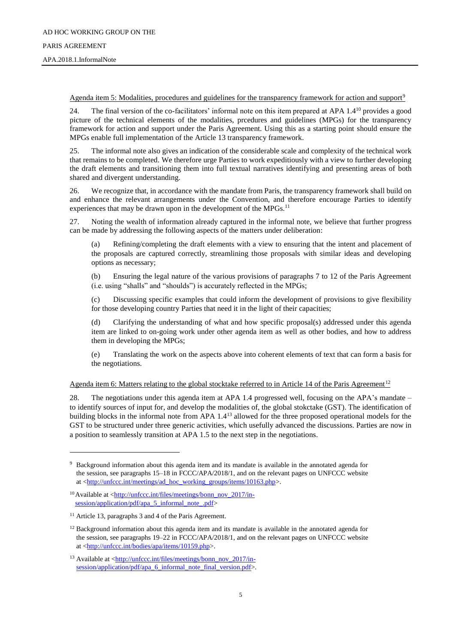Agenda item 5: Modalities, procedures and guidelines for the transparency framework for action and support<sup>9</sup>

24. The final version of the co-facilitators' informal note on this item prepared at APA 1.4<sup>10</sup> provides a good picture of the technical elements of the modalities, prcedures and guidelines (MPGs) for the transparency framework for action and support under the Paris Agreement. Using this as a starting point should ensure the MPGs enable full implementation of the Article 13 transparency framework.

25. The informal note also gives an indication of the considerable scale and complexity of the technical work that remains to be completed. We therefore urge Parties to work expeditiously with a view to further developing the draft elements and transitioning them into full textual narratives identifying and presenting areas of both shared and divergent understanding.

26. We recognize that, in accordance with the mandate from Paris, the transparency framework shall build on and enhance the relevant arrangements under the Convention, and therefore encourage Parties to identify experiences that may be drawn upon in the development of the MPGs.<sup>11</sup>

27. Noting the wealth of information already captured in the informal note, we believe that further progress can be made by addressing the following aspects of the matters under deliberation:

(a) Refining/completing the draft elements with a view to ensuring that the intent and placement of the proposals are captured correctly, streamlining those proposals with similar ideas and developing options as necessary;

(b) Ensuring the legal nature of the various provisions of paragraphs 7 to 12 of the Paris Agreement (i.e. using "shalls" and "shoulds") is accurately reflected in the MPGs;

(c) Discussing specific examples that could inform the development of provisions to give flexibility for those developing country Parties that need it in the light of their capacities;

(d) Clarifying the understanding of what and how specific proposal(s) addressed under this agenda item are linked to on-going work under other agenda item as well as other bodies, and how to address them in developing the MPGs;

(e) Translating the work on the aspects above into coherent elements of text that can form a basis for the negotiations.

Agenda item 6: Matters relating to the global stocktake referred to in Article 14 of the Paris Agreement<sup>12</sup>

28. The negotiations under this agenda item at APA 1.4 progressed well, focusing on the APA's mandate – to identify sources of input for, and develop the modalities of, the global stokctake (GST). The identification of building blocks in the informal note from APA  $1.4^{13}$  allowed for the three proposed operational models for the GST to be structured under three generic activities, which usefully advanced the discussions. Parties are now in a position to seamlessly transition at APA 1.5 to the next step in the negotiations.

l

<sup>9</sup> Background information about this agenda item and its mandate is available in the annotated agenda for the session, see paragraphs 15–18 in FCCC/APA/2018/1, and on the relevant pages on UNFCCC website at [<http://unfccc.int/meetings/ad\\_hoc\\_working\\_groups/items/10163.php>](http://unfccc.int/meetings/ad_hoc_working_groups/items/10163.php).

<sup>&</sup>lt;sup>10</sup>Available at [<http://unfccc.int/files/meetings/bonn\\_nov\\_2017/in](http://unfccc.int/files/meetings/bonn_nov_2017/in-session/application/pdf/apa_5_informal_note_.pdf)[session/application/pdf/apa\\_5\\_informal\\_note\\_.pdf>](http://unfccc.int/files/meetings/bonn_nov_2017/in-session/application/pdf/apa_5_informal_note_.pdf)

<sup>&</sup>lt;sup>11</sup> Article 13, paragraphs 3 and 4 of the Paris Agreement.

<sup>&</sup>lt;sup>12</sup> Background information about this agenda item and its mandate is available in the annotated agenda for the session, see paragraphs 19–22 in FCCC/APA/2018/1, and on the relevant pages on UNFCCC website at [<http://unfccc.int/bodies/apa/items/10159.php>](http://unfccc.int/bodies/apa/items/10159.php).

 $13$  Available at  $\frac{\text{http://unfcc.int/files/mectings/bonn nov_2017/in-}}{$ [session/application/pdf/apa\\_6\\_informal\\_note\\_final\\_version.pdf>](http://unfccc.int/files/meetings/bonn_nov_2017/in-session/application/pdf/apa_6_informal_note_final_version.pdf).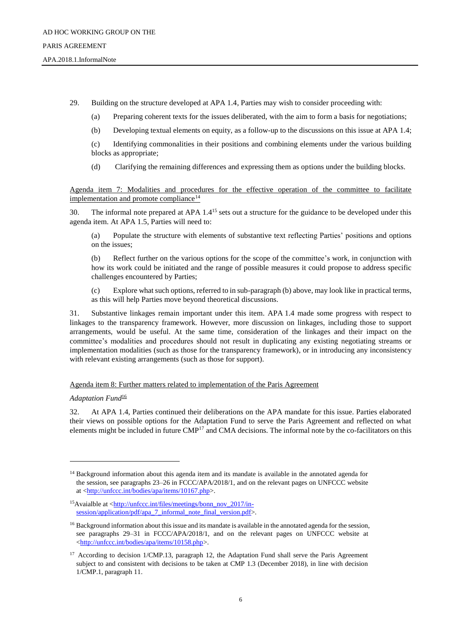29. Building on the structure developed at APA 1.4, Parties may wish to consider proceeding with:

(a) Preparing coherent texts for the issues deliberated, with the aim to form a basis for negotiations;

(b) Developing textual elements on equity, as a follow-up to the discussions on this issue at APA 1.4;

(c) Identifying commonalities in their positions and combining elements under the various building blocks as appropriate;

(d) Clarifying the remaining differences and expressing them as options under the building blocks.

Agenda item 7: Modalities and procedures for the effective operation of the committee to facilitate implementation and promote compliance<sup>14</sup>

30. The informal note prepared at APA 1.4<sup>15</sup> sets out a structure for the guidance to be developed under this agenda item. At APA 1.5, Parties will need to:

(a) Populate the structure with elements of substantive text reflecting Parties' positions and options on the issues;

(b) Reflect further on the various options for the scope of the committee's work, in conjunction with how its work could be initiated and the range of possible measures it could propose to address specific challenges encountered by Parties;

(c) Explore what such options, referred to in sub-paragraph (b) above, may look like in practical terms, as this will help Parties move beyond theoretical discussions.

31. Substantive linkages remain important under this item. APA 1.4 made some progress with respect to linkages to the transparency framework. However, more discussion on linkages, including those to support arrangements, would be useful. At the same time, consideration of the linkages and their impact on the committee's modalities and procedures should not result in duplicating any existing negotiating streams or implementation modalities (such as those for the transparency framework), or in introducing any inconsistency with relevant existing arrangements (such as those for support).

### Agenda item 8: Further matters related to implementation of the Paris Agreement

#### *Adaptation Fund*<sup>16</sup>

l

32. At APA 1.4, Parties continued their deliberations on the APA mandate for this issue. Parties elaborated their views on possible options for the Adaptation Fund to serve the Paris Agreement and reflected on what elements might be included in future CMP<sup>17</sup> and CMA decisions. The informal note by the co-facilitators on this

<sup>&</sup>lt;sup>14</sup> Background information about this agenda item and its mandate is available in the annotated agenda for the session, see paragraphs 23–26 in FCCC/APA/2018/1, and on the relevant pages on UNFCCC website at [<http://unfccc.int/bodies/apa/items/10167.php>](http://unfccc.int/bodies/apa/items/10167.php).

<sup>&</sup>lt;sup>15</sup>Avaialble at [<http://unfccc.int/files/meetings/bonn\\_nov\\_2017/in](http://unfccc.int/files/meetings/bonn_nov_2017/in-session/application/pdf/apa_7_informal_note_final_version.pdf)[session/application/pdf/apa\\_7\\_informal\\_note\\_final\\_version.pdf>](http://unfccc.int/files/meetings/bonn_nov_2017/in-session/application/pdf/apa_7_informal_note_final_version.pdf).

<sup>&</sup>lt;sup>16</sup> Background information about this issue and its mandate is available in the annotated agenda for the session, see paragraphs 29–31 in FCCC/APA/2018/1, and on the relevant pages on UNFCCC website at [<http://unfccc.int/bodies/apa/items/10158.php>](http://unfccc.int/bodies/apa/items/10158.php).

<sup>&</sup>lt;sup>17</sup> According to decision 1/CMP.13, paragraph 12, the Adaptation Fund shall serve the Paris Agreement subject to and consistent with decisions to be taken at CMP 1.3 (December 2018), in line with decision 1/CMP.1, paragraph 11.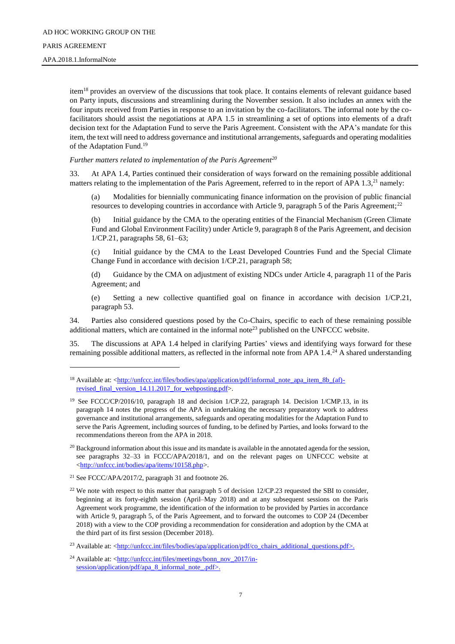APA.2018.1.InformalNote

l

item<sup>18</sup> provides an overview of the discussions that took place. It contains elements of relevant guidance based on Party inputs, discussions and streamlining during the November session. It also includes an annex with the four inputs received from Parties in response to an invitation by the co-facilitators. The informal note by the cofacilitators should assist the negotiations at APA 1.5 in streamlining a set of options into elements of a draft decision text for the Adaptation Fund to serve the Paris Agreement. Consistent with the APA's mandate for this item, the text will need to address governance and institutional arrangements, safeguards and operating modalities of the Adaptation Fund.<sup>19</sup>

*Further matters related to implementation of the Paris Agreement<sup>20</sup>*

33. At APA 1.4, Parties continued their consideration of ways forward on the remaining possible additional matters relating to the implementation of the Paris Agreement, referred to in the report of APA 1.3,<sup>21</sup> namely:

(a) Modalities for biennially communicating finance information on the provision of public financial resources to developing countries in accordance with Article 9, paragraph 5 of the Paris Agreement;<sup>22</sup>

(b) Initial guidance by the CMA to the operating entities of the Financial Mechanism (Green Climate Fund and Global Environment Facility) under Article 9, paragraph 8 of the Paris Agreement, and decision 1/CP.21, paragraphs 58, 61–63;

(c) Initial guidance by the CMA to the Least Developed Countries Fund and the Special Climate Change Fund in accordance with decision 1/CP.21, paragraph 58;

(d) Guidance by the CMA on adjustment of existing NDCs under Article 4, paragraph 11 of the Paris Agreement; and

(e) Setting a new collective quantified goal on finance in accordance with decision 1/CP.21, paragraph 53.

34. Parties also considered questions posed by the Co-Chairs, specific to each of these remaining possible additional matters, which are contained in the informal note<sup>23</sup> published on the UNFCCC website.

35. The discussions at APA 1.4 helped in clarifying Parties' views and identifying ways forward for these remaining possible additional matters, as reflected in the informal note from APA 1.4.<sup>24</sup> A shared understanding

<sup>23</sup> Available at: [<http://unfccc.int/files/bodies/apa/application/pdf/co\\_chairs\\_additional\\_questions.pdf>](http://unfccc.int/files/bodies/apa/application/pdf/co_chairs_additional_questions.pdf).

<sup>&</sup>lt;sup>18</sup> Available at: [<http://unfccc.int/files/bodies/apa/application/pdf/informal\\_note\\_apa\\_item\\_8b\\_\(af\)](http://unfccc.int/files/bodies/apa/application/pdf/informal_note_apa_item_8b_(af)-revised_final_version_14.11.2017_for_webposting.pdf) [revised\\_final\\_version\\_14.11.2017\\_for\\_webposting.pdf>](http://unfccc.int/files/bodies/apa/application/pdf/informal_note_apa_item_8b_(af)-revised_final_version_14.11.2017_for_webposting.pdf).

<sup>&</sup>lt;sup>19</sup> See FCCC/CP/2016/10, paragraph 18 and decision 1/CP.22, paragraph 14. Decision 1/CMP.13, in its paragraph 14 notes the progress of the APA in undertaking the necessary preparatory work to address governance and institutional arrangements, safeguards and operating modalities for the Adaptation Fund to serve the Paris Agreement, including sources of funding, to be defined by Parties, and looks forward to the recommendations thereon from the APA in 2018.

 $^{20}$  Background information about this issue and its mandate is available in the annotated agenda for the session, see paragraphs 32–33 in FCCC/APA/2018/1, and on the relevant pages on UNFCCC website at [<http://unfccc.int/bodies/apa/items/10158.php>](http://unfccc.int/bodies/apa/items/10158.php).

<sup>21</sup> See FCCC/APA/2017/2, paragraph 31 and footnote 26.

<sup>&</sup>lt;sup>22</sup> We note with respect to this matter that paragraph 5 of decision  $12$ /CP.23 requested the SBI to consider, beginning at its forty-eighth session (April–May 2018) and at any subsequent sessions on the Paris Agreement work programme, the identification of the information to be provided by Parties in accordance with Article 9, paragraph 5, of the Paris Agreement, and to forward the outcomes to COP 24 (December 2018) with a view to the COP providing a recommendation for consideration and adoption by the CMA at the third part of its first session (December 2018).

 $^{24}$  Available at: [<http://unfccc.int/files/meetings/bonn\\_nov\\_2017/in](http://unfccc.int/files/meetings/bonn_nov_2017/in-session/application/pdf/apa_8_informal_note_.pdf)[session/application/pdf/apa\\_8\\_informal\\_note\\_.pdf>](http://unfccc.int/files/meetings/bonn_nov_2017/in-session/application/pdf/apa_8_informal_note_.pdf).